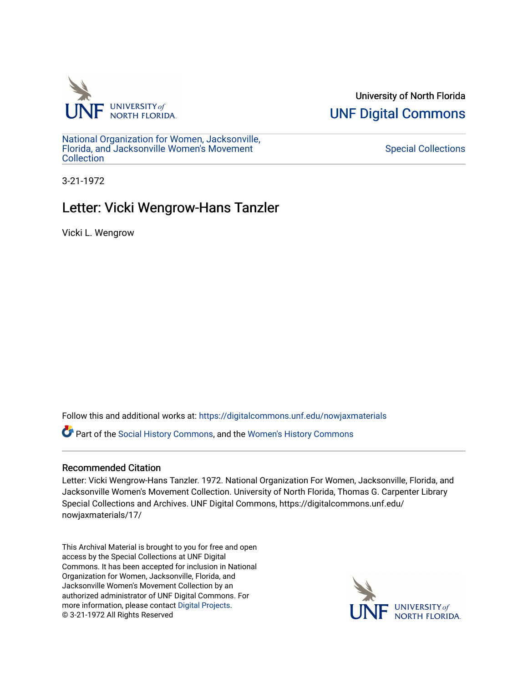

University of North Florida [UNF Digital Commons](https://digitalcommons.unf.edu/) 

[National Organization for Women, Jacksonville,](https://digitalcommons.unf.edu/nowjaxmaterials) [Florida, and Jacksonville Women's Movement](https://digitalcommons.unf.edu/nowjaxmaterials) **Collection** 

## [Special Collections](https://digitalcommons.unf.edu/special_collections)

3-21-1972

## Letter: Vicki Wengrow-Hans Tanzler

Vicki L. Wengrow

Follow this and additional works at: [https://digitalcommons.unf.edu/nowjaxmaterials](https://digitalcommons.unf.edu/nowjaxmaterials?utm_source=digitalcommons.unf.edu%2Fnowjaxmaterials%2F17&utm_medium=PDF&utm_campaign=PDFCoverPages) 

Part of the [Social History Commons](http://network.bepress.com/hgg/discipline/506?utm_source=digitalcommons.unf.edu%2Fnowjaxmaterials%2F17&utm_medium=PDF&utm_campaign=PDFCoverPages), and the [Women's History Commons](http://network.bepress.com/hgg/discipline/507?utm_source=digitalcommons.unf.edu%2Fnowjaxmaterials%2F17&utm_medium=PDF&utm_campaign=PDFCoverPages)

## Recommended Citation

Letter: Vicki Wengrow-Hans Tanzler. 1972. National Organization For Women, Jacksonville, Florida, and Jacksonville Women's Movement Collection. University of North Florida, Thomas G. Carpenter Library Special Collections and Archives. UNF Digital Commons, https://digitalcommons.unf.edu/ nowjaxmaterials/17/

This Archival Material is brought to you for free and open access by the Special Collections at UNF Digital Commons. It has been accepted for inclusion in National Organization for Women, Jacksonville, Florida, and Jacksonville Women's Movement Collection by an authorized administrator of UNF Digital Commons. For more information, please contact [Digital Projects](mailto:lib-digital@unf.edu). © 3-21-1972 All Rights Reserved

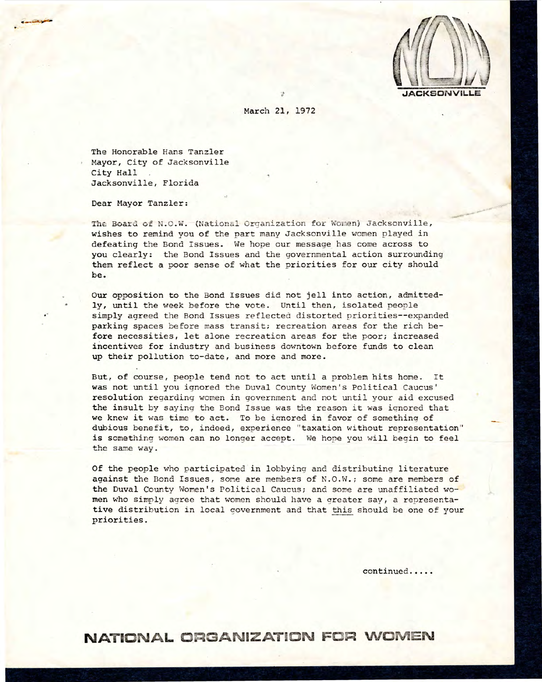

March 21, 1972

The Honorable Hans Tanzler Mayor, City of Jacksonville City Hall Jacksonville, Florida

Dear Mayor Tanzler:

The Board of N.O.W. (National Organization for Women) Jacksonville, wishes to remind you of the part many Jacksonville women played in defeating the Bond Issues. We hope our message has come across to **you** clearly: the Bond Issues and the governmental action surrounding them reflect a poor sense of what the priorities for our city should be.

Our opposition to the Bond Issues did not jell into action, admittedly, until the week before the vote. Until then, isolated people simply agreed the Bond Issues reflected distorted priorities--expanded parking spaces before mass transit; recreation areas for the rich before necessities, let alone recreation areas for the poor; increased incentives for industry and business downtown before funds to clean up their pollution to-date, and more and more.

But, of course, people tend not to act until a problem hits home. It was not until you ignored the Duval County Women's Political Caucus' resolution regarding women in government and not until your aid excused the insult by saying the Bond Issue was the reason it was iqnored that we knew it was time to act. To be ignored in favor of something of dubious benefit, to, indeed, experience " taxation without representation" is something women can no longer accept. We hope you will begin to feel the same way.

Of the people who participated in lobbying and distributing literature against the Bond Issues, some are members of N.O.W.; some are members of the Duval County Women's Political Caucus; and some are unaffiliated women who simply agree that women should have a greater say, a representative distribution in local government and that this should be one of your priorities.

continued.....

**NATIONALORGANIZATION FOR WOMEN**